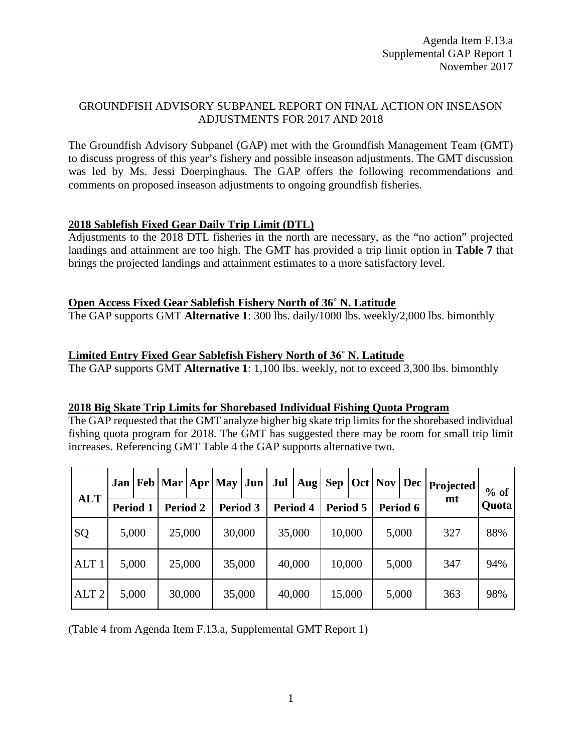## GROUNDFISH ADVISORY SUBPANEL REPORT ON FINAL ACTION ON INSEASON ADJUSTMENTS FOR 2017 AND 2018

The Groundfish Advisory Subpanel (GAP) met with the Groundfish Management Team (GMT) to discuss progress of this year's fishery and possible inseason adjustments. The GMT discussion was led by Ms. Jessi Doerpinghaus. The GAP offers the following recommendations and comments on proposed inseason adjustments to ongoing groundfish fisheries.

#### **2018 Sablefish Fixed Gear Daily Trip Limit (DTL)**

Adjustments to the 2018 DTL fisheries in the north are necessary, as the "no action" projected landings and attainment are too high. The GMT has provided a trip limit option in **Table 7** that brings the projected landings and attainment estimates to a more satisfactory level.

#### **Open Access Fixed Gear Sablefish Fishery North of 36˚ N. Latitude**

The GAP supports GMT **Alternative 1**: 300 lbs. daily/1000 lbs. weekly/2,000 lbs. bimonthly

### **Limited Entry Fixed Gear Sablefish Fishery North of 36˚ N. Latitude**

The GAP supports GMT **Alternative 1**: 1,100 lbs. weekly, not to exceed 3,300 lbs. bimonthly

#### **2018 Big Skate Trip Limits for Shorebased Individual Fishing Quota Program**

The GAP requested that the GMT analyze higher big skate trip limits for the shorebased individual fishing quota program for 2018. The GMT has suggested there may be room for small trip limit increases. Referencing GMT Table 4 the GAP supports alternative two.

|                  | Jan      |       | $\left  \frac{\text{Feb}}{\text{Mar}} \right $ Apr   May |        |          | <b>Jun</b> | Jul      | Aug |          |  | Sep   Oct   Nov   Dec |  | <b>Projected</b> | $%$ of |
|------------------|----------|-------|----------------------------------------------------------|--------|----------|------------|----------|-----|----------|--|-----------------------|--|------------------|--------|
| <b>ALT</b>       | Period 1 |       | Period 2                                                 |        | Period 3 |            | Period 4 |     | Period 5 |  | Period 6              |  | mt               | Quota  |
| SQ               | 5,000    |       | 25,000                                                   |        | 30,000   |            | 35,000   |     | 10,000   |  | 5,000                 |  | 327              | 88%    |
| ALT <sub>1</sub> | 5,000    |       | 25,000                                                   |        | 35,000   |            | 40,000   |     | 10,000   |  | 5,000                 |  | 347              | 94%    |
| ALT <sub>2</sub> |          | 5,000 |                                                          | 30,000 | 35,000   |            | 40,000   |     | 15,000   |  | 5,000                 |  | 363              | 98%    |

(Table 4 from Agenda Item F.13.a, Supplemental GMT Report 1)